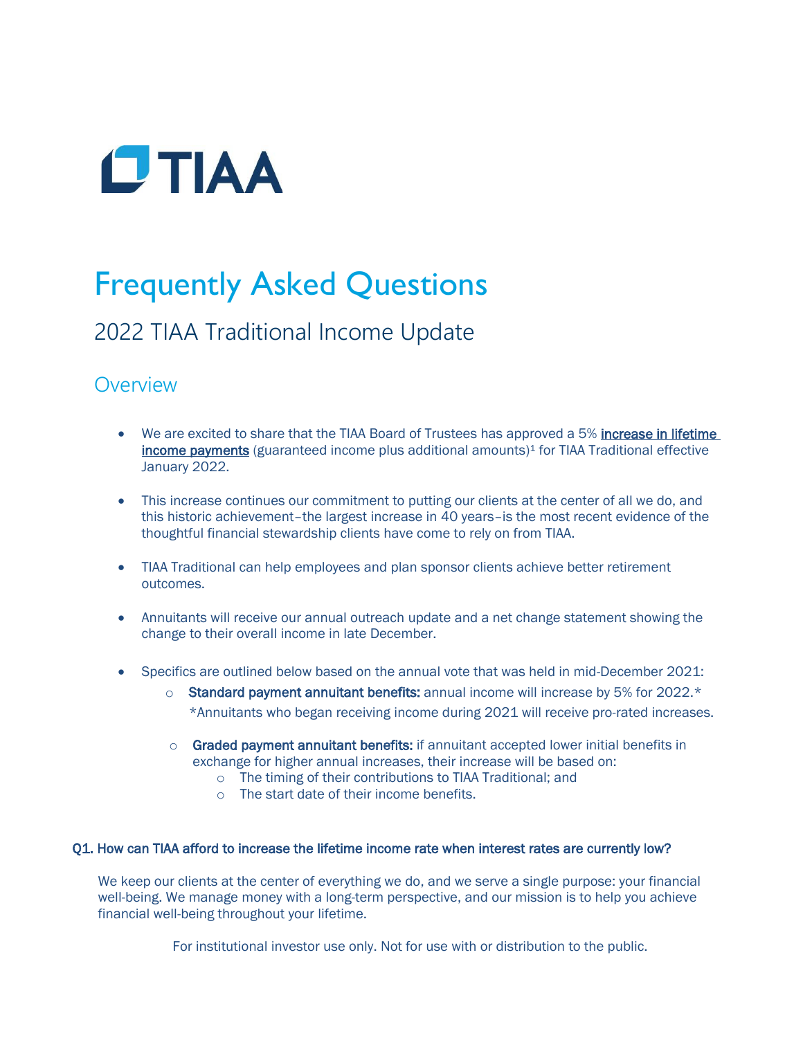

# Frequently Asked Questions

# 2022 TIAA Traditional Income Update

## **Overview**

- We are excited to share that the TIAA Board of Trustees has approved a 5% increase in lifetime income payments (guaranteed income plus additional amounts)<sup>1</sup> for TIAA Traditional effective January 2022.
- This increase continues our commitment to putting our clients at the center of all we do, and this historic achievement–the largest increase in 40 years–is the most recent evidence of the thoughtful financial stewardship clients have come to rely on from TIAA.
- TIAA Traditional can help employees and plan sponsor clients achieve better retirement outcomes.
- Annuitants will receive our annual outreach update and a net change statement showing the change to their overall income in late December.
- Specifics are outlined below based on the annual vote that was held in mid-December 2021:
	- $\circ$  Standard payment annuitant benefits: annual income will increase by 5% for 2022. $*$ \*Annuitants who began receiving income during 2021 will receive pro-rated increases.
	- $\circ$  Graded payment annuitant benefits: if annuitant accepted lower initial benefits in exchange for higher annual increases, their increase will be based on:
		- o The timing of their contributions to TIAA Traditional; and
		- o The start date of their income benefits.

### Q1. How can TIAA afford to increase the lifetime income rate when interest rates are currently low?

We keep our clients at the center of everything we do, and we serve a single purpose: your financial well-being. We manage money with a long-term perspective, and our mission is to help you achieve financial well-being throughout your lifetime.

For institutional investor use only. Not for use with or distribution to the public.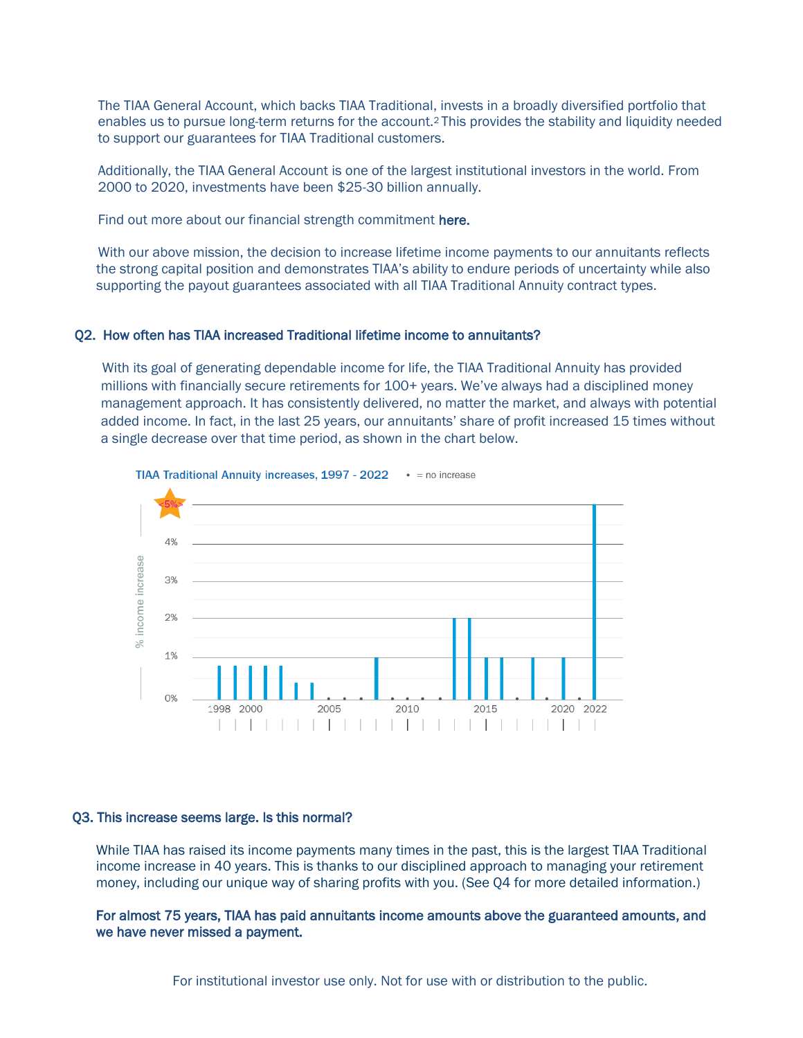The TIAA General Account, which backs TIAA Traditional, invests in a broadly diversified portfolio that enables us to pursue long-term returns for the account.2 This provides the stability and liquidity needed to support our guarantees for TIAA Traditional customers.

Additionally, the TIAA General Account is one of the largest institutional investors in the world. From 2000 to 2020, investments have been \$25-30 billion annually.

Find out more about our financial strength commitment here.

With our above mission, the decision to increase lifetime income payments to our annuitants reflects the strong capital position and demonstrates TIAA's ability to endure periods of uncertainty while also supporting the payout guarantees associated with all TIAA Traditional Annuity contract types.

#### Q2. How often has TIAA increased Traditional lifetime income to annuitants?

With its goal of generating dependable income for life, the TIAA Traditional Annuity has provided millions with financially secure retirements for 100+ years. We've always had a disciplined money management approach. It has consistently delivered, no matter the market, and always with potential added income. In fact, in the last 25 years, our annuitants' share of profit increased 15 times without a single decrease over that time period, as shown in the chart below.



#### TIAA Traditional Annuity increases, 1997 - 2022 · = no increase

#### Q3. This increase seems large. Is this normal?

While TIAA has raised its income payments many times in the past, this is the largest TIAA Traditional income increase in 40 years. This is thanks to our disciplined approach to managing your retirement money, including our unique way of sharing profits with you. (See Q4 for more detailed information.)

For almost 75 years, TIAA has paid annuitants income amounts above the guaranteed amounts, and we have never missed a payment.

For institutional investor use only. Not for use with or distribution to the public.